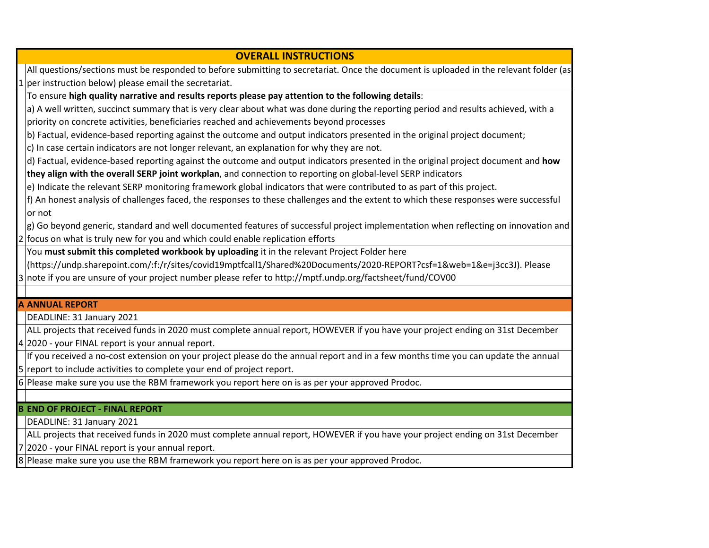| <b>OVERALL INSTRUCTIONS</b>                                                                                                            |
|----------------------------------------------------------------------------------------------------------------------------------------|
| All questions/sections must be responded to before submitting to secretariat. Once the document is uploaded in the relevant folder (as |
| per instruction below) please email the secretariat.                                                                                   |
| To ensure high quality narrative and results reports please pay attention to the following details:                                    |
| a) A well written, succinct summary that is very clear about what was done during the reporting period and results achieved, with a    |
| priority on concrete activities, beneficiaries reached and achievements beyond processes                                               |
| b) Factual, evidence-based reporting against the outcome and output indicators presented in the original project document;             |
| c) In case certain indicators are not longer relevant, an explanation for why they are not.                                            |
| d) Factual, evidence-based reporting against the outcome and output indicators presented in the original project document and how      |
| they align with the overall SERP joint workplan, and connection to reporting on global-level SERP indicators                           |
| e) Indicate the relevant SERP monitoring framework global indicators that were contributed to as part of this project.                 |
| f) An honest analysis of challenges faced, the responses to these challenges and the extent to which these responses were successful   |
| or not                                                                                                                                 |
| $ $ g) Go beyond generic, standard and well documented features of successful project implementation when reflecting on innovation and |
| 2 focus on what is truly new for you and which could enable replication efforts                                                        |
| You must submit this completed workbook by uploading it in the relevant Project Folder here                                            |
| (https://undp.sharepoint.com/:f:/r/sites/covid19mptfcall1/Shared%20Documents/2020-REPORT?csf=1&web=1&e=j3cc3J). Please                 |
| 3 note if you are unsure of your project number please refer to http://mptf.undp.org/factsheet/fund/COV00                              |
|                                                                                                                                        |
| <b>A ANNUAL REPORT</b>                                                                                                                 |
| DEADLINE: 31 January 2021                                                                                                              |
| ALL projects that received funds in 2020 must complete annual report, HOWEVER if you have your project ending on 31st December         |
| $4 2020$ - your FINAL report is your annual report.                                                                                    |
| If you received a no-cost extension on your project please do the annual report and in a few months time you can update the annual     |

5 report to include activities to complete your end of project report.

6 Please make sure you use the RBM framework you report here on is as per your approved Prodoc.

# **B END OF PROJECT - FINAL REPORT**

DEADLINE: 31 January 2021

7 2020 - your FINAL report is your annual report. ALL projects that received funds in 2020 must complete annual report, HOWEVER if you have your project ending on 31st December

8 Please make sure you use the RBM framework you report here on is as per your approved Prodoc.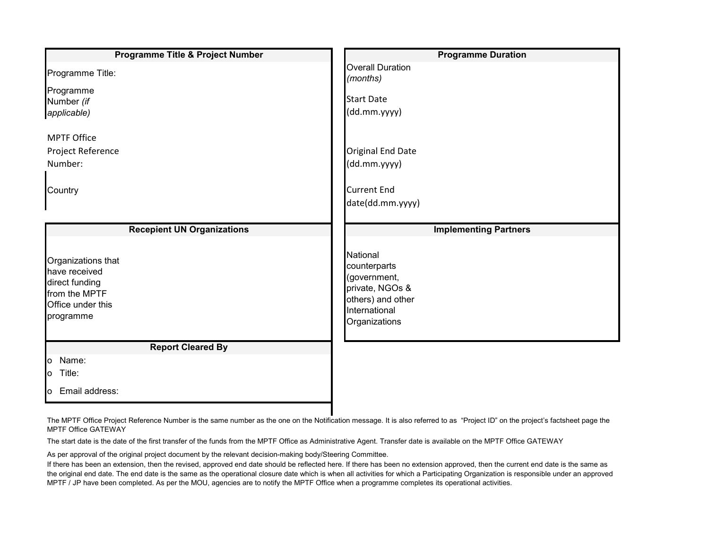| Programme Title & Project Number                                                                         | <b>Programme Duration</b>                                                                                          |  |  |
|----------------------------------------------------------------------------------------------------------|--------------------------------------------------------------------------------------------------------------------|--|--|
| Programme Title:                                                                                         | <b>Overall Duration</b><br>(months)                                                                                |  |  |
| Programme                                                                                                |                                                                                                                    |  |  |
| Number (if                                                                                               | <b>Start Date</b>                                                                                                  |  |  |
| applicable)                                                                                              | (dd.mm.yyyy)                                                                                                       |  |  |
| <b>MPTF Office</b>                                                                                       |                                                                                                                    |  |  |
| Project Reference                                                                                        | <b>Original End Date</b>                                                                                           |  |  |
| Number:                                                                                                  | (dd.mm.yyyy)                                                                                                       |  |  |
|                                                                                                          |                                                                                                                    |  |  |
| Country                                                                                                  | <b>Current End</b>                                                                                                 |  |  |
|                                                                                                          | date(dd.mm.yyyy)                                                                                                   |  |  |
|                                                                                                          |                                                                                                                    |  |  |
| <b>Recepient UN Organizations</b>                                                                        | <b>Implementing Partners</b>                                                                                       |  |  |
| Organizations that<br>have received<br>direct funding<br>from the MPTF<br>Office under this<br>programme | National<br>counterparts<br>(government,<br>private, NGOs &<br>others) and other<br>International<br>Organizations |  |  |
| <b>Report Cleared By</b>                                                                                 |                                                                                                                    |  |  |
| o Name:                                                                                                  |                                                                                                                    |  |  |
| o Title:                                                                                                 |                                                                                                                    |  |  |
| o Email address:                                                                                         |                                                                                                                    |  |  |

The MPTF Office Project Reference Number is the same number as the one on the Notification message. It is also referred to as "Project ID" on the project's factsheet page the MPTF Office GATEWAY

The start date is the date of the first transfer of the funds from the MPTF Office as Administrative Agent. Transfer date is available on the MPTF Office GATEWAY

As per approval of the original project document by the relevant decision-making body/Steering Committee.

If there has been an extension, then the revised, approved end date should be reflected here. If there has been no extension approved, then the current end date is the same as the original end date. The end date is the same as the operational closure date which is when all activities for which a Participating Organization is responsible under an approved MPTF / JP have been completed. As per the MOU, agencies are to notify the MPTF Office when a programme completes its operational activities.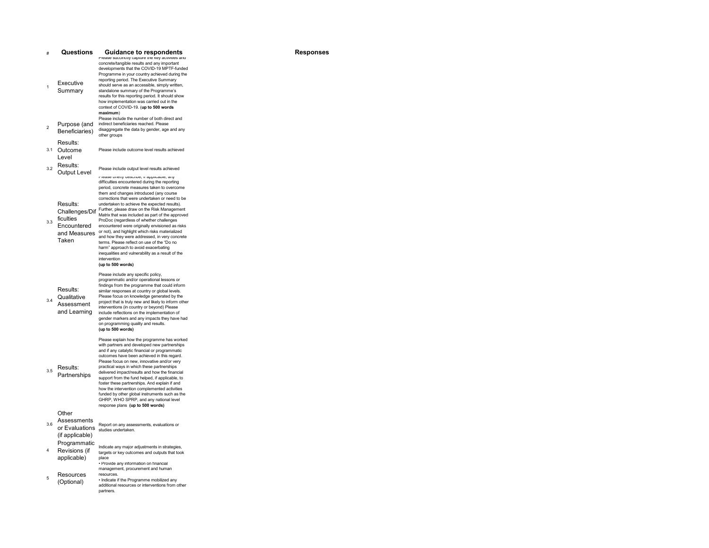|                          | Questions                                                 | <b>Guidance to respondents</b><br>Please succincity capture the key activities and                                                                                                                                                                                                                                                                                                                                                                                                                                                                                                                                                                                                                                                                                                                         | <b>Responses</b> |
|--------------------------|-----------------------------------------------------------|------------------------------------------------------------------------------------------------------------------------------------------------------------------------------------------------------------------------------------------------------------------------------------------------------------------------------------------------------------------------------------------------------------------------------------------------------------------------------------------------------------------------------------------------------------------------------------------------------------------------------------------------------------------------------------------------------------------------------------------------------------------------------------------------------------|------------------|
| 1                        | Executive<br>Summary                                      | concrete/tangible results and any important<br>developments that the COVID-19 MPTF-funded<br>Programme in your country achieved during the<br>reporting period. The Executive Summary<br>should serve as an accessible, simply written,<br>standalone summary of the Programme's<br>results for this reporting period. It should show<br>how implementation was carried out in the<br>context of COVID-19. (up to 500 words<br>maximum)                                                                                                                                                                                                                                                                                                                                                                    |                  |
| $\overline{\phantom{a}}$ | Purpose (and<br>Beneficiaries)                            | Please include the number of both direct and<br>indirect beneficiaries reached. Please<br>disaggregate the data by gender, age and any<br>other groups                                                                                                                                                                                                                                                                                                                                                                                                                                                                                                                                                                                                                                                     |                  |
|                          | Results:<br>3.1 Outcome<br>Level                          | Please include outcome level results achieved                                                                                                                                                                                                                                                                                                                                                                                                                                                                                                                                                                                                                                                                                                                                                              |                  |
| 3.2                      | Results:<br><b>Output Level</b>                           | Please include output level results achieved                                                                                                                                                                                                                                                                                                                                                                                                                                                                                                                                                                                                                                                                                                                                                               |                  |
| 3.3                      | Results:<br>ficulties<br>Encountered<br>Taken             | mease prieiry describe, ir applicable, arry<br>difficulties encountered during the reporting<br>period, concrete measures taken to overcome<br>them and changes introduced (any course<br>corrections that were undertaken or need to be<br>undertaken to achieve the expected results).<br>Challenges/Dif Further, please draw on the Risk Management<br>Matrix that was included as part of the approved<br>ProDoc (regardless of whether challenges<br>encountered were originally envisioned as risks<br>and Measures or not), and highlight which risks materialized<br>and how they were addressed, in very concrete<br>terms. Please reflect on use of the "Do no<br>harm" approach to avoid exacerbating<br>inequalities and vulnerability as a result of the<br>intervention<br>(up to 500 words) |                  |
| 34                       | Results:<br>Qualitative<br>Assessment<br>and Learning     | Please include any specific policy,<br>programmatic and/or operational lessons or<br>findings from the programme that could inform<br>similar responses at country or global levels.<br>Please focus on knowledge generated by the<br>project that is truly new and likely to inform other<br>interventions (in country or beyond) Please<br>include reflections on the implementation of<br>gender markers and any impacts they have had<br>on programming quality and results.<br>(up to 500 words)                                                                                                                                                                                                                                                                                                      |                  |
| 3.5                      | Results:<br>Partnerships                                  | Please explain how the programme has worked<br>with partners and developed new partnerships<br>and if any catalytic financial or programmatic<br>outcomes have been achieved in this regard.<br>Please focus on new, innovative and/or very<br>practical ways in which these partnerships<br>delivered impact/results and how the financial<br>support from the fund helped, if applicable, to<br>foster these partnerships. And explain if and<br>how the intervention complemented activities<br>funded by other global instruments such as the<br>GHRP, WHO SPRP, and any national level<br>response plans (up to 500 words)                                                                                                                                                                            |                  |
| 3 R                      | Other<br>Assessments<br>or Evaluations<br>(if applicable) | Report on any assessments, evaluations or<br>studies undertaken.                                                                                                                                                                                                                                                                                                                                                                                                                                                                                                                                                                                                                                                                                                                                           |                  |
| 4                        | Programmatic<br>Revisions (if<br>applicable)              | Indicate any major adjustments in strategies,<br>targets or key outcomes and outputs that took<br>place<br>· Provide any information on financial                                                                                                                                                                                                                                                                                                                                                                                                                                                                                                                                                                                                                                                          |                  |
| 5                        | Resources<br>(Optional)                                   | management, procurement and human<br>resources.<br>. Indicate if the Programme mobilized any<br>additional resources or interventions from other<br>partners.                                                                                                                                                                                                                                                                                                                                                                                                                                                                                                                                                                                                                                              |                  |
|                          |                                                           |                                                                                                                                                                                                                                                                                                                                                                                                                                                                                                                                                                                                                                                                                                                                                                                                            |                  |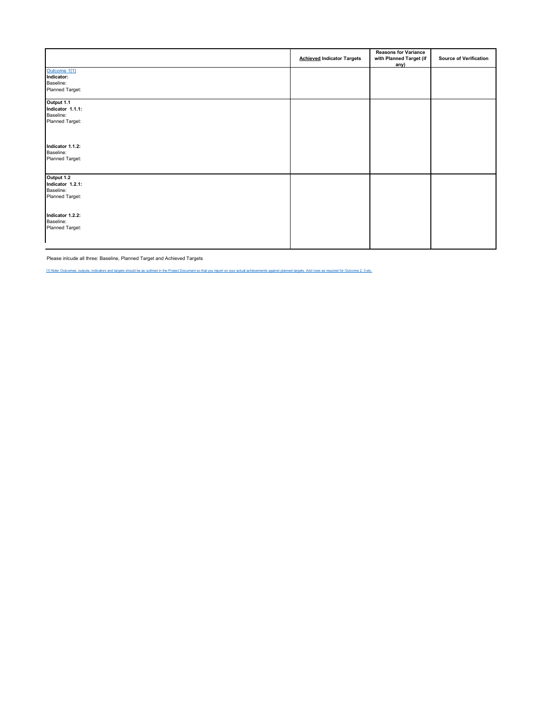<span id="page-3-1"></span>

|                                                                | <b>Achieved Indicator Targets</b> | <b>Reasons for Variance</b><br>with Planned Target (if<br>any) | <b>Source of Verification</b> |
|----------------------------------------------------------------|-----------------------------------|----------------------------------------------------------------|-------------------------------|
| Outcome 1[1]<br>Indicator:<br>Baseline:<br>Planned Target:     |                                   |                                                                |                               |
| Output 1.1<br>Indicator 1.1.1:<br>Baseline:<br>Planned Target: |                                   |                                                                |                               |
| Indicator 1.1.2:<br>Baseline:<br>Planned Target:               |                                   |                                                                |                               |
| Output 1.2<br>Indicator 1.2.1:<br>Baseline:<br>Planned Target: |                                   |                                                                |                               |
| Indicator 1.2.2:<br>Baseline:<br>Planned Target:               |                                   |                                                                |                               |

Please inlcude all three: Baseline, Planned Target and Achieved Targets

<span id="page-3-0"></span>[\[1\] Note: Outcomes, outputs, indicators and targets should be as outlined in the Project Document so that you report on your actual achievements against planned targets. Add rows as required for Outcome 2, 3 etc.](#page-3-1)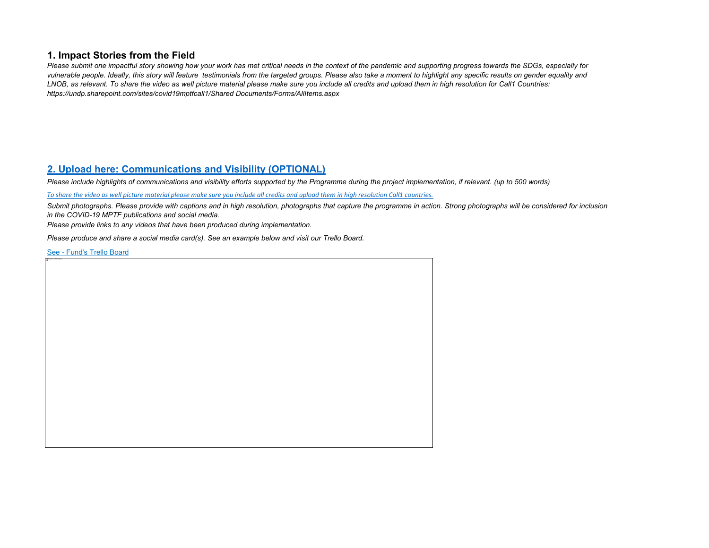### **1. Impact Stories from the Field**

*Please submit one impactful story showing how your work has met critical needs in the context of the pandemic and supporting progress towards the SDGs, especially for vulnerable people. Ideally, this story will feature testimonials from the targeted groups. Please also take a moment to highlight any specific results on gender equality and LNOB, as relevant. To share the video as well picture material please make sure you include all credits and upload them in high resolution for Call1 Countries: https://undp.sharepoint.com/sites/covid19mptfcall1/Shared Documents/Forms/AllItems.aspx*

## **[2. Upload here: Communications and Visibility \(OPTIONAL\)](https://unicef-my.sharepoint.com/personal/olga.aleshina/AppData/Local/Microsoft/covid19mptfcall1/Shared%20Documents/Forms/AllItems.aspx)**

*Please include highlights of communications and visibility efforts supported by the Programme during the project implementation, if relevant. (up to 500 words)*

*[To share the video as well picture material please make sure you include all credits and upload them in high resolution Call1 countries.](https://unicef-my.sharepoint.com/personal/olga.aleshina/AppData/Local/Microsoft/covid19mptfcall1/Shared%20Documents/Forms/AllItems.aspx)*

*Submit photographs. Please provide with captions and in high resolution, photographs that capture the programme in action. Strong photographs will be considered for inclusion in the COVID-19 MPTF publications and social media.* 

*Please provide links to any videos that have been produced during implementation.*

*Please produce and share a social media card(s). See an example below and visit our Trello Board.* 

[See - Fund's](https://eur03.safelinks.protection.outlook.com/?url=https%3A%2F%2Ftrello.com%2Fb%2FjEMmcX5K%2Fcovid-19-response-and-recovery-mptf&data=04|01|olga.aleshina%40undp.org|bf30ce863a034a67bc2208d8a07d07c9|b3e5db5e2944483799f57488ace54319|0|0|637435806163987491|Unknown|TWFpbGZsb3d8eyJWIjoiMC4wLjAwMDAiLCJQIjoiV2luMzIiLCJBTiI6Ik1haWwiLCJXVCI6Mn0%3D|1000&sdata=iq9EIgYfdHwbvepunXoZvw36vfEektGyqZw4AKwsq1M%3D&reserved=0) Trello Board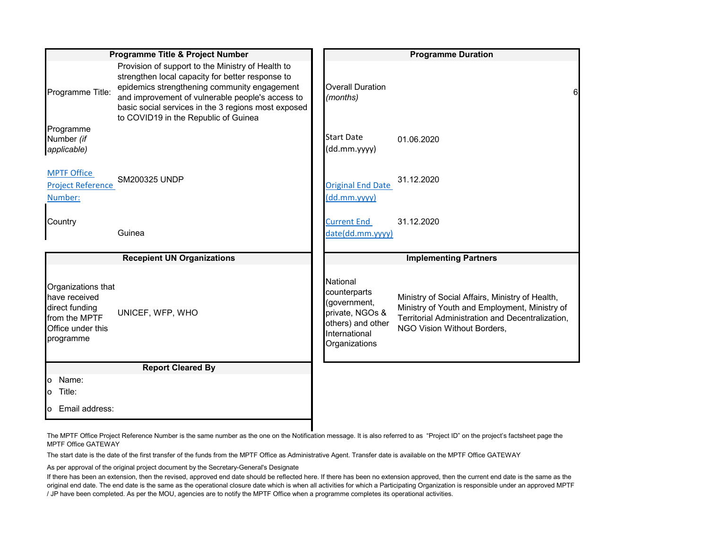|                                                                                                          | Programme Title & Project Number                                                                                                                                                                                                                                                                         | <b>Programme Duration</b>                                                                                          |                                                                                                                                                                                     |  |
|----------------------------------------------------------------------------------------------------------|----------------------------------------------------------------------------------------------------------------------------------------------------------------------------------------------------------------------------------------------------------------------------------------------------------|--------------------------------------------------------------------------------------------------------------------|-------------------------------------------------------------------------------------------------------------------------------------------------------------------------------------|--|
| Programme Title:                                                                                         | Provision of support to the Ministry of Health to<br>strengthen local capacity for better response to<br>epidemics strengthening community engagement<br>and improvement of vulnerable people's access to<br>basic social services in the 3 regions most exposed<br>to COVID19 in the Republic of Guinea | <b>Overall Duration</b><br>(months)                                                                                | 6                                                                                                                                                                                   |  |
| Programme<br>Number (if<br>applicable)                                                                   |                                                                                                                                                                                                                                                                                                          | <b>Start Date</b><br>(dd.mm.yyyy)                                                                                  | 01.06.2020                                                                                                                                                                          |  |
| <b>MPTF Office</b><br><b>Project Reference</b><br>Number:                                                | SM200325 UNDP                                                                                                                                                                                                                                                                                            | <b>Original End Date</b><br>(dd.mm.yyyy)                                                                           | 31.12.2020                                                                                                                                                                          |  |
| Country                                                                                                  | Guinea                                                                                                                                                                                                                                                                                                   | <b>Current End</b><br>date(dd.mm.yyyy)                                                                             | 31.12.2020                                                                                                                                                                          |  |
|                                                                                                          | <b>Recepient UN Organizations</b>                                                                                                                                                                                                                                                                        |                                                                                                                    | <b>Implementing Partners</b>                                                                                                                                                        |  |
| Organizations that<br>have received<br>direct funding<br>from the MPTF<br>Office under this<br>programme | UNICEF, WFP, WHO                                                                                                                                                                                                                                                                                         | National<br>counterparts<br>(government,<br>private, NGOs &<br>others) and other<br>International<br>Organizations | Ministry of Social Affairs, Ministry of Health,<br>Ministry of Youth and Employment, Ministry of<br>Territorial Administration and Decentralization,<br>NGO Vision Without Borders, |  |
|                                                                                                          | <b>Report Cleared By</b>                                                                                                                                                                                                                                                                                 |                                                                                                                    |                                                                                                                                                                                     |  |
| o Name:<br>Title:<br>o                                                                                   |                                                                                                                                                                                                                                                                                                          |                                                                                                                    |                                                                                                                                                                                     |  |
| Email address:<br>O                                                                                      |                                                                                                                                                                                                                                                                                                          |                                                                                                                    |                                                                                                                                                                                     |  |

<span id="page-5-0"></span>The MPTF Office Project Reference Number is the same number as the one on the Notification message. It is also referred to as "Project ID" on the project's factsheet page the MPTF Office GATEWAY

The start date is the date of the first transfer of the funds from the MPTF Office as Administrative Agent. Transfer date is available on the MPTF Office GATEWAY

<span id="page-5-1"></span>As per approval of the original project document by the Secretary-General's Designate

<span id="page-5-2"></span>If there has been an extension, then the revised, approved end date should be reflected here. If there has been no extension approved, then the current end date is the same as the original end date. The end date is the same as the operational closure date which is when all activities for which a Participating Organization is responsible under an approved MPTF / JP have been completed. As per the MOU, agencies are to notify the MPTF Office when a programme completes its operational activities.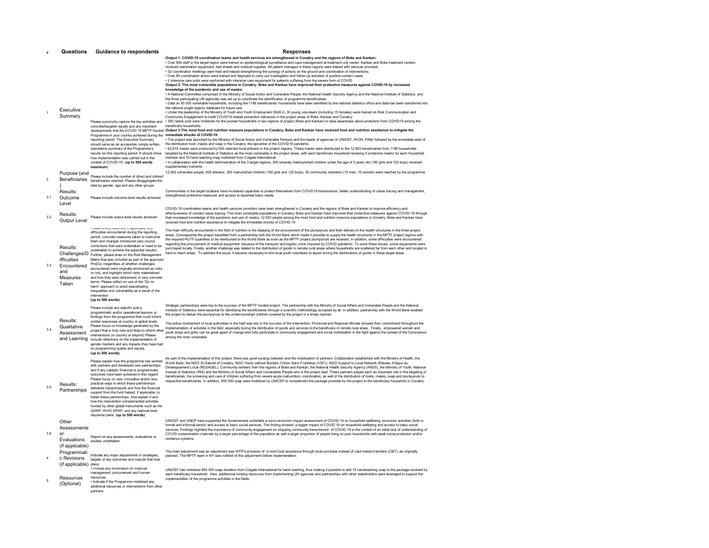|                | Questions                                                                          | <b>Guidance to respondents</b>                                                                                                                                                                                                                                                                                                                                                                                                                                                                                                                                                                                                                                                                                                                                  | <b>Responses</b>                                                                                                                                                                                                                                                                                                                                                                                                                                                                                                                                                                                                                                                                                                                                                                                                                                                                                                                                                                                                                                                                                                                                                                                                                                                                                                                                                                                                                                                                                                                                                                                                                                                                                                                                                                                                                                                                                |
|----------------|------------------------------------------------------------------------------------|-----------------------------------------------------------------------------------------------------------------------------------------------------------------------------------------------------------------------------------------------------------------------------------------------------------------------------------------------------------------------------------------------------------------------------------------------------------------------------------------------------------------------------------------------------------------------------------------------------------------------------------------------------------------------------------------------------------------------------------------------------------------|-------------------------------------------------------------------------------------------------------------------------------------------------------------------------------------------------------------------------------------------------------------------------------------------------------------------------------------------------------------------------------------------------------------------------------------------------------------------------------------------------------------------------------------------------------------------------------------------------------------------------------------------------------------------------------------------------------------------------------------------------------------------------------------------------------------------------------------------------------------------------------------------------------------------------------------------------------------------------------------------------------------------------------------------------------------------------------------------------------------------------------------------------------------------------------------------------------------------------------------------------------------------------------------------------------------------------------------------------------------------------------------------------------------------------------------------------------------------------------------------------------------------------------------------------------------------------------------------------------------------------------------------------------------------------------------------------------------------------------------------------------------------------------------------------------------------------------------------------------------------------------------------------|
|                | Executive<br>Summary                                                               |                                                                                                                                                                                                                                                                                                                                                                                                                                                                                                                                                                                                                                                                                                                                                                 | Output 1: COVID-19 coordination teams and health services are strengthened in Conakry and the regions of Boke and Kankan:<br>· Over 900 staff in the target region were trained on epidemiological surveillance and case management at treatment unit center. Kankan and Boke treatment centers<br>received reanimation equipment, bed sheets and medical supplies. All patient managed in these regions were helped with services provided:<br>. 32 coordination meetings were held and helped strengthening the synergy of actions on the ground and coordination of interventions;<br>. Over 80 coordination actors were trained and deploved to carry out investigation and follow-up activities of positive contact cases<br>. 2 intensive care units were reinforced with intensive care equipment for patients suffering from the severe form of COVID<br>Output 2: The most vulnerable populations in Conakry, Boke and Kankan have improved their protective measures against COVID-19 by increased<br>knowledge of the pandemic and use of masks:<br>. A National Committee comprised of the Ministry of Social Action and Vulnerable People, the National Health Security Agency and the National Institute of Statistics, and<br>the three participating UN agencies was set up to coordinate the identification of programme beneficiaries;<br>. Data on 50 000 vulnerable households, including the 1186 beneficiaries' households have been identified by the national statistics office and data has been transferred into<br>the national single registry database for future use.<br>. Under the leadership of the Ministry of Youth and Youth Employment (MJEJ), 30 young volunteers (including 15 females) were trained on Risk Communication and<br>Community Engagement to instill COVID19 related prevention behaviors in the project areas of Boké, Kankan and Conakry. |
|                |                                                                                    | Please succinctly capture the key activities and<br>concrete/tangible results and any important<br>Programme in your country achieved during the immediate shocks of COVID-19:<br>reporting period. The Executive Summary<br>should serve as an accessible, simply written,<br>standalone summary of the Programme's<br>results for this reporting period. It should show<br>how implementation was carried out in the<br>context of COVID-19. (up to 500 words<br>maximum)                                                                                                                                                                                                                                                                                     | · 360 radios post were mobilized for the poorest households in two regions of project (Boke and Kankan) to raise awareness about protection from COVID19 among the<br>beneficiary households<br>developments that the COVID-19 MPTF-funded Output 3:The most food and nutrition insecure populations in Conakry, Boke and Kankan have received food and nutrition assistance to mitigate the<br>. The project was launched by the Ministry of Social Action and Vulnerable Persons and the heads of agencies of UNICEF, WOH, PAM, followed by the immediate start of<br>the distribution food, masks and soap in the Conakry, the epicenter of the COVID19 pandemic.<br>. 62,815 masks were produced by 500 selected local artisans in the project regions. These masks were distributed to the 12,563 beneficiaries from 1186 households<br>targeted by the National Institute of Statistics as the most vulnerable in the project areas, with each beneficiary household receiving 5 protective masks for each household<br>member and 10 hand washing soap mobilized from Colgate International.<br>. In collaboration with the health administration of the 3 target regions, 300 severely malnourished children under the age of 5 years old (180 girls and 120 boys) received<br>supplementary nutrients                                                                                                                                                                                                                                                                                                                                                                                                                                                                                                                                                                                  |
| $\mathfrak{p}$ | Purpose (and<br>$\lambda$<br>Results:                                              | Please include the number of direct and indirect<br>Beneficiaries beneficiaries reached. Please disaggregate the<br>data by gender, age and any other groups                                                                                                                                                                                                                                                                                                                                                                                                                                                                                                                                                                                                    | 12,563 vulnerable people, 500 artisans, 300 malnurished children (180 girls and 120 boys), 30 community volontiers (15 men, 15 women) were reached by the programme<br>Communities in the target locations have increased capacities to protect themselves from COVID19 transmission, better understanding of cases tracing and management,                                                                                                                                                                                                                                                                                                                                                                                                                                                                                                                                                                                                                                                                                                                                                                                                                                                                                                                                                                                                                                                                                                                                                                                                                                                                                                                                                                                                                                                                                                                                                     |
| 31             | Outcome<br>Level                                                                   | Please include outcome level results achieved                                                                                                                                                                                                                                                                                                                                                                                                                                                                                                                                                                                                                                                                                                                   | strengthened protective measures and access to essential basic needs.<br>COVID-19 coordination teams and health services providors have been strengthened in Conakry and the regions of Boke and Kankan to improve efficiency and                                                                                                                                                                                                                                                                                                                                                                                                                                                                                                                                                                                                                                                                                                                                                                                                                                                                                                                                                                                                                                                                                                                                                                                                                                                                                                                                                                                                                                                                                                                                                                                                                                                               |
| 32             | Results:<br>Output Level                                                           | Please include output level results achieved                                                                                                                                                                                                                                                                                                                                                                                                                                                                                                                                                                                                                                                                                                                    | effectiuveness of contact cases tracing; The most vulnerable populations in Conakry, Boke and Kankan have improved their protective measures against COVID-19 through<br>their increased knowledge of the pandemic and use of masks; 12 563 people among the most food and nutrition insecure populations in Conakry, Boke and Kankan have<br>received food and nutrition assistance to mitigate the immediate shocks of COVID-19                                                                                                                                                                                                                                                                                                                                                                                                                                                                                                                                                                                                                                                                                                                                                                                                                                                                                                                                                                                                                                                                                                                                                                                                                                                                                                                                                                                                                                                               |
| 3.3            | Results:<br>Challenges/D<br>ifficulties<br>Encountered<br>and<br>Measures<br>Taken | aao wirony uodunuo, ii appir<br>difficulties encountered during the reporting<br>period, concrete measures taken to overcome<br>them and changes introduced (any course<br>corrections that were undertaken or need to be<br>undertaken to achieve the expected results).<br>Further, please draw on the Risk Management<br>Matrix that was included as part of the approved<br>ProDoc (regardless of whether challenges<br>encountered were originally envisioned as risks<br>or not), and highlight which risks materialized<br>and how they were addressed, in very concrete<br>terms. Please reflect on use of the "Do no<br>harm" approach to avoid exacerbating<br>inequalities and vulnerability as a result of the<br>intervention<br>(up to 500 words) | The main difficulty encountered in the field of nutrition is the delaying of the procurement of the plumpynuts and their delivery to the health structures in the three project<br>areas. Consequently the project benefited from a partnership with the World Bank which made it possible to supply the health structures in the MPTF project regions with<br>the required RUTF quantities to be reimbursed to the World Bank as soon as the MPTF project plumpynuts are received. In addition, some difficulties were encountered<br>regarding the procurement of medical equipment because of the transport and logistic crisis imposed by COVID pandemic. To solve these issues, some equipments were<br>purchased locally. Finally, another challenge was related to the distribution of goods in remote rural areas where households are scattered far from each other and located in<br>hard to reach areas. To address the issue, it became necessary to hire local youth volunteers to assist during the distributions of goods in these target areas.                                                                                                                                                                                                                                                                                                                                                                                                                                                                                                                                                                                                                                                                                                                                                                                                                                 |
| 34             | Results:<br>Qualitative<br>Assessment                                              | Please include any specific policy,<br>programmatic and/or operational lessons or<br>findings from the programme that could inform<br>similar responses at country or global levels.<br>Please focus on knowledge generated by the<br>project that is truly new and likely to inform other<br>interventions (in country or beyond) Please<br>and Learning include reflections on the implementation of<br>gender markers and any impacts they have had<br>on programming quality and results.<br>(up to 500 words)                                                                                                                                                                                                                                              | Strategic partnerships were key to the success of the MPTF funded project. The partnership with the Ministry of Social Affairs and Vulnerable People and the National<br>Institute of Statistics were essential for identifying the beneficiaries through a scientific methodology accepted by all. In addition, partnership with the World Bank enabled<br>the project to deliver the plumpynuts to the undernourished children covered by the project in a timely manner.<br>The active involvement of local authorities in the field was key in the success of the intervention. Provincial and Regional officials showed their commitment throughout the<br>implementation of activities in the field, especially during the distribution of goods and services to the beneficiary in remote rural areas. Finally, empowered women and<br>youth (boys and girls) can be great agent of change who fully participate in community engagement and social mobilization in the fight against the spread of the Coronavirus<br>among the most vulnerable.                                                                                                                                                                                                                                                                                                                                                                                                                                                                                                                                                                                                                                                                                                                                                                                                                                        |
| 3.5            | Results:<br>Partnerships                                                           | Please explain how the programme has worked<br>with partners and developed new partnerships<br>and if any catalytic financial or programmatic<br>outcomes have been achieved in this regard.<br>Please focus on new, innovative and/or very<br>practical ways in which these partnerships<br>delivered impact/results and how the financial<br>support from the fund helped, if applicable, to<br>foster these partnerships. And explain if and<br>how the intervention complemented activities<br>funded by other global instruments such as the<br>GHRP, WHO SPRP, and any national level<br>response plans (up to 500 words)                                                                                                                                 | As part of the implementation of this project, there was good synergy between and the mobilization of partners. Collaboration established with the Ministry of Health, the<br>World Bank, the NGO St Gabriel of Conakry, NGO Vision without Borders (Vision Sans Frontières (VSF)), NGO Support to Local Network (Réseau d'Appui au<br>Développement Local (RESADEL), Community workers from the regions of Boké and Kankan, the National Health Security Agency (ANSS), the Ministry of Youth, National<br>Instiute of Statistics (INS) and the Ministry of Social Affairs and Vulnerables People who is the project lead. These partners played each an important role in the targeting of<br>beneficiaries, the screening and care of children suffering from severe acute malnutrition, coordination, as well of the distribution of foods, masks, soap and plumpynuts to<br>respective beneficiaries. In addition, 850 000 soap were mobilized by UNICEF to complement the package provided by the project to the beneficiary household in Conakry.                                                                                                                                                                                                                                                                                                                                                                                                                                                                                                                                                                                                                                                                                                                                                                                                                                        |
| 3.6            | Other<br>Assessments<br>or<br>Evaluations<br>(if applicable)                       | Report on any assessments, evaluations or<br>studies undertaken.                                                                                                                                                                                                                                                                                                                                                                                                                                                                                                                                                                                                                                                                                                | UNICEF and UNDP have supported the Governement undertake a socio-economic impact assessment of COVID 19 on household wellbeing, economic activities (both in<br>formal and informal sector) and access to basic social services. The finding showed a bigger impact of COVID 19 on household wellbeing and access to basic social<br>services. Findings highlited the importance of community engagement on stopping community transmission of COVID 19 in the context of an initial lack of understanding of<br>COVID contamination channels by a larger percentage of the population as well a larger proportion of people living on poor households with weak social protection and/or<br>resilience systems.                                                                                                                                                                                                                                                                                                                                                                                                                                                                                                                                                                                                                                                                                                                                                                                                                                                                                                                                                                                                                                                                                                                                                                                |
| $\overline{4}$ | Programmati<br>c Revisions<br>(if applicable) place                                | Indicate any major adjustments in strategies,<br>targets or key outcomes and outputs that took                                                                                                                                                                                                                                                                                                                                                                                                                                                                                                                                                                                                                                                                  | The main adjustment was an adjustment was WFP's provision of in-kind food assistance through local purchase instead of cash-based transfers (CBT), as originally<br>planned. The MPTF team in NY was notified of this adjustment before implementation.                                                                                                                                                                                                                                                                                                                                                                                                                                                                                                                                                                                                                                                                                                                                                                                                                                                                                                                                                                                                                                                                                                                                                                                                                                                                                                                                                                                                                                                                                                                                                                                                                                         |
| 5              | Resources<br>(Optional)                                                            | · Provide any information on financial<br>management, procurement and human<br>resources.<br>. Indicate if the Programme mobilized any<br>additional resources or interventions from other<br><b>nartners</b>                                                                                                                                                                                                                                                                                                                                                                                                                                                                                                                                                   | UNICEF has mobilized 850 000 soap donation from Colgate International for hand washing, thus making it posisble to add 10 handwashing soap to the package received by<br>each beneficiary household. Also, additionnal funding resources from implementing UN agencies and partnerships with other stakeholders were leveraged to support the<br>implementation of the programme activities in the fields.                                                                                                                                                                                                                                                                                                                                                                                                                                                                                                                                                                                                                                                                                                                                                                                                                                                                                                                                                                                                                                                                                                                                                                                                                                                                                                                                                                                                                                                                                      |
|                |                                                                                    |                                                                                                                                                                                                                                                                                                                                                                                                                                                                                                                                                                                                                                                                                                                                                                 |                                                                                                                                                                                                                                                                                                                                                                                                                                                                                                                                                                                                                                                                                                                                                                                                                                                                                                                                                                                                                                                                                                                                                                                                                                                                                                                                                                                                                                                                                                                                                                                                                                                                                                                                                                                                                                                                                                 |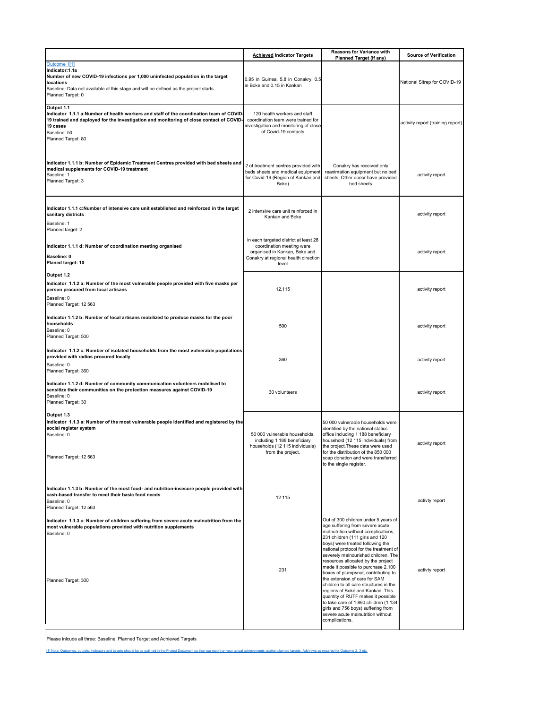<span id="page-7-1"></span>

|                                                                                                                                                                                                                                                   | <b>Achieved Indicator Targets</b>                                                                                                                    | Reasons for Variance with<br>Planned Target (if any)                                                                                                                                                                                                                                                                                                                                                                                                                                                                                                                                                                                                                                 | <b>Source of Verification</b>     |
|---------------------------------------------------------------------------------------------------------------------------------------------------------------------------------------------------------------------------------------------------|------------------------------------------------------------------------------------------------------------------------------------------------------|--------------------------------------------------------------------------------------------------------------------------------------------------------------------------------------------------------------------------------------------------------------------------------------------------------------------------------------------------------------------------------------------------------------------------------------------------------------------------------------------------------------------------------------------------------------------------------------------------------------------------------------------------------------------------------------|-----------------------------------|
| Outcome 1[1]<br>Indicator:1.1a<br>Number of new COVID-19 infections per 1,000 uninfected population in the target<br>locations<br>Baseline: Data not available at this stage and will be defined as the project starts<br>Planned Target: 0       | 0.95 in Guinea, 5.8 in Conakry, 0.5<br>n Boke and 0.15 in Kankan                                                                                     |                                                                                                                                                                                                                                                                                                                                                                                                                                                                                                                                                                                                                                                                                      | National Sitrep for COVID-19      |
| Output 1.1<br>Indicator 1.1.1 a:Number of health workers and staff of the coordination team of COVID<br>19 trained and deployed for the investigation and monitoring of close contact of COVID-<br>19 cases<br>Baseline: 50<br>Planned Target: 80 | 120 health workers and staff<br>coordination team were trained for<br>nvestigation and monitoring of close<br>of Covid-19 contacts                   |                                                                                                                                                                                                                                                                                                                                                                                                                                                                                                                                                                                                                                                                                      | activity report (training report) |
| Indicator 1.1.1 b: Number of Epidemic Treatment Centres provided with bed sheets and<br>medical supplements for COVID-19 treatment<br>Baseline: 1<br>Planned Target: 3                                                                            | 2 of treatment centres provided with<br>beds sheets and medical equipment<br>for Covid-19 (Region of Kankan and<br>Boke)                             | Conakry has received only<br>reanimation equipment but no bed<br>sheets. Other donor have provided<br>bed sheets                                                                                                                                                                                                                                                                                                                                                                                                                                                                                                                                                                     | activity report                   |
| Indicator 1.1.1 c:Number of intensive care unit established and reinforced in the target<br>sanitary districts<br>Baseline: 1<br>Planned target: 2                                                                                                | 2 intensive care unit reinforced in<br>Kankan and Boke                                                                                               |                                                                                                                                                                                                                                                                                                                                                                                                                                                                                                                                                                                                                                                                                      | activity report                   |
| Indicator 1.1.1 d: Number of coordination meeting organised<br>Baseline: 0<br>Planed target: 10                                                                                                                                                   | in each targeted district at least 28<br>coordination meeting were<br>organised in Kankan, Boke and<br>Conakry at regional health direction<br>level |                                                                                                                                                                                                                                                                                                                                                                                                                                                                                                                                                                                                                                                                                      | activity report                   |
| Output 1.2<br>Indicator 1.1.2 a: Number of the most vulnerable people provided with five masks per<br>person procured from local artisans<br>Baseline: 0<br>Planned Target: 12 563                                                                | 12,115                                                                                                                                               |                                                                                                                                                                                                                                                                                                                                                                                                                                                                                                                                                                                                                                                                                      | activity report                   |
| Indicator 1.1.2 b: Number of local artisans mobilized to produce masks for the poor<br>households<br>Baseline: 0<br>Planned Target: 500                                                                                                           | 500                                                                                                                                                  |                                                                                                                                                                                                                                                                                                                                                                                                                                                                                                                                                                                                                                                                                      | activity report                   |
| Indicator 1.1.2 c: Number of isolated households from the most vulnerable populations<br>provided with radios procured locally<br>Baseline: 0<br>Planned Target: 360                                                                              | 360                                                                                                                                                  |                                                                                                                                                                                                                                                                                                                                                                                                                                                                                                                                                                                                                                                                                      | activity report                   |
| Indicator 1.1.2 d: Number of community communication volunteers mobilised to<br>sensitize their communities on the protection measures against COVID-19<br>Baseline: 0<br>Planned Target: 30                                                      | 30 volunteers                                                                                                                                        |                                                                                                                                                                                                                                                                                                                                                                                                                                                                                                                                                                                                                                                                                      | activity report                   |
| Output 1.3<br>Indicator 1.1.3 a: Number of the most vulnerable people identified and registered by the<br>social register system<br>Baseline: 0<br>Planned Target: 12 563                                                                         | 50 000 vulnerable households,<br>including 1 188 beneficiary<br>households (12 115 individuals)<br>from the project.                                 | 50 000 vulnerable households were<br>identified by the national statics<br>office including 1 188 beneficiary<br>household (12 115 individuals) from<br>the project. These data were used<br>for the distribution of the 850 000<br>soap donation and were transferred<br>to the single register.                                                                                                                                                                                                                                                                                                                                                                                    | activity report                   |
| Indicator 1.1.3 b: Number of the most food- and nutrition-insecure people provided with<br>cash-based transfer to meet their basic food needs<br>Baseline: 0<br>Planned Target: 12 563                                                            | 12 115                                                                                                                                               |                                                                                                                                                                                                                                                                                                                                                                                                                                                                                                                                                                                                                                                                                      | activty report                    |
| Indicator 1.1.3 c: Number of children suffering from severe acute malnutrition from the<br>most vulnerable populations provided with nutrition supplements<br>Baseline: 0<br>Planned Target: 300                                                  | 231                                                                                                                                                  | Out of 300 children under 5 years of<br>age suffering from severe acute<br>malnutrition without complications,<br>231 children (111 girls and 120<br>boys) were treated following the<br>national protocol for the treatment of<br>severely malnourished children. The<br>resources allocated by the project<br>made it possible to purchase 2,100<br>boxes of plumpynut, contributing to<br>the extension of care for SAM<br>children to all care structures in the<br>regions of Boké and Kankan. This<br>quantity of RUTF makes it possible<br>to take care of 1,890 children (1,134<br>girls and 756 boys) suffering from<br>severe acute malnutrition without<br>complications. | activty report                    |

Please inlcude all three: Baseline, Planned Target and Achieved Targets

<span id="page-7-0"></span>[\[1\] Note: Outcomes, outputs, indicators and targets should be as outlined in the Project Document so that you report on your actual achievements against planned targets. Add rows as required for Outcome 2, 3 etc.](#page-7-1)